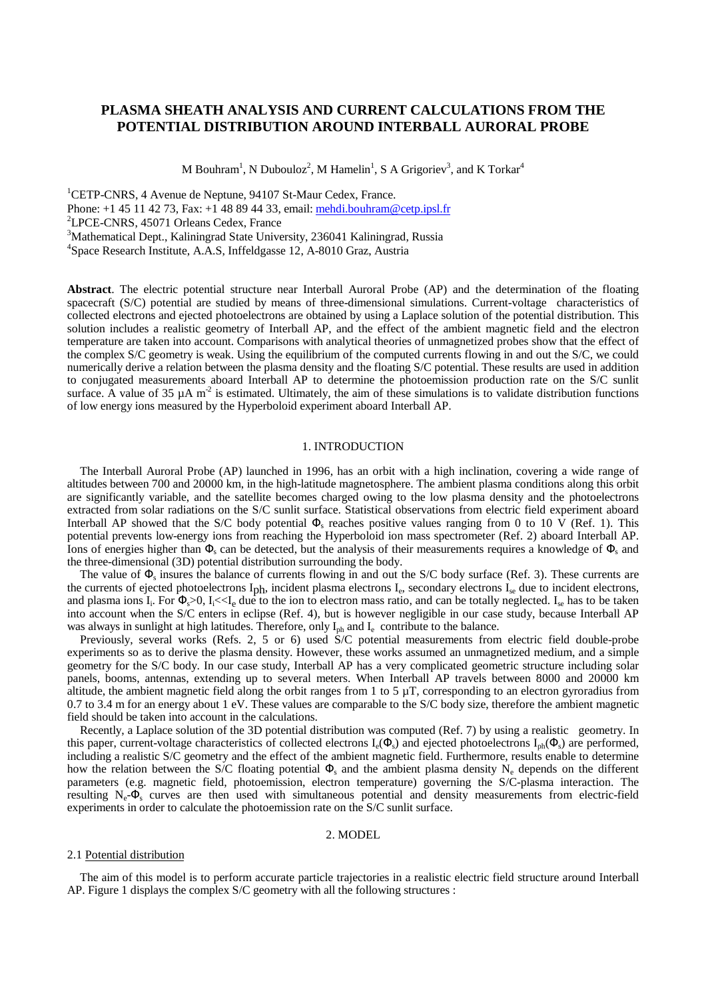# **PLASMA SHEATH ANALYSIS AND CURRENT CALCULATIONS FROM THE POTENTIAL DISTRIBUTION AROUND INTERBALL AURORAL PROBE**

M Bouhram<sup>1</sup>, N Dubouloz<sup>2</sup>, M Hamelin<sup>1</sup>, S A Grigoriev<sup>3</sup>, and K Torkar<sup>4</sup>

<sup>1</sup>CETP-CNRS, 4 Avenue de Neptune, 94107 St-Maur Cedex, France. Phone: +1 45 11 42 73, Fax: +1 48 89 44 33, email: mehdi.bouhram@cetp.ipsl.fr <sup>2</sup> <sup>2</sup>LPCE-CNRS, 45071 Orleans Cedex, France <sup>3</sup>Mathematical Dept., Kaliningrad State University, 236041 Kaliningrad, Russia 4 Space Research Institute, A.A.S, Inffeldgasse 12, A-8010 Graz, Austria

**Abstract**. The electric potential structure near Interball Auroral Probe (AP) and the determination of the floating spacecraft (S/C) potential are studied by means of three-dimensional simulations. Current-voltage characteristics of collected electrons and ejected photoelectrons are obtained by using a Laplace solution of the potential distribution. This solution includes a realistic geometry of Interball AP, and the effect of the ambient magnetic field and the electron temperature are taken into account. Comparisons with analytical theories of unmagnetized probes show that the effect of the complex S/C geometry is weak. Using the equilibrium of the computed currents flowing in and out the S/C, we could numerically derive a relation between the plasma density and the floating S/C potential. These results are used in addition to conjugated measurements aboard Interball AP to determine the photoemission production rate on the S/C sunlit surface. A value of 35  $\mu$ A m<sup>-2</sup> is estimated. Ultimately, the aim of these simulations is to validate distribution functions of low energy ions measured by the Hyperboloid experiment aboard Interball AP.

## 1. INTRODUCTION

The Interball Auroral Probe (AP) launched in 1996, has an orbit with a high inclination, covering a wide range of altitudes between 700 and 20000 km, in the high-latitude magnetosphere. The ambient plasma conditions along this orbit are significantly variable, and the satellite becomes charged owing to the low plasma density and the photoelectrons extracted from solar radiations on the S/C sunlit surface. Statistical observations from electric field experiment aboard Interball AP showed that the S/C body potential  $\Phi_s$  reaches positive values ranging from 0 to 10  $\bar{V}$  (Ref. 1). This potential prevents low-energy ions from reaching the Hyperboloid ion mass spectrometer (Ref. 2) aboard Interball AP. Ions of energies higher than  $\Phi_s$  can be detected, but the analysis of their measurements requires a knowledge of  $\Phi_s$  and the three-dimensional (3D) potential distribution surrounding the body.

The value of  $\Phi_s$  insures the balance of currents flowing in and out the S/C body surface (Ref. 3). These currents are the currents of ejected photoelectrons I<sub>ph</sub>, incident plasma electrons I<sub>e</sub>, secondary electrons I<sub>se</sub> due to incident electrons, and plasma ions I<sub>i</sub>. For  $\Phi_s > 0$ , I<sub>i</sub> $<< I_e$  due to the ion to electron mass ratio, and can be totally neglected. I<sub>se</sub> has to be taken into account when the S/C enters in eclipse (Ref. 4), but is however negligible in our case study, because Interball AP was always in sunlight at high latitudes. Therefore, only  $I_{ph}$  and  $I_e$  contribute to the balance.

Previously, several works (Refs. 2, 5 or 6) used S/C potential measurements from electric field double-probe experiments so as to derive the plasma density. However, these works assumed an unmagnetized medium, and a simple geometry for the S/C body. In our case study, Interball AP has a very complicated geometric structure including solar panels, booms, antennas, extending up to several meters. When Interball AP travels between 8000 and 20000 km altitude, the ambient magnetic field along the orbit ranges from 1 to 5  $\mu$ T, corresponding to an electron gyroradius from 0.7 to 3.4 m for an energy about 1 eV. These values are comparable to the S/C body size, therefore the ambient magnetic field should be taken into account in the calculations.

Recently, a Laplace solution of the 3D potential distribution was computed (Ref. 7) by using a realistic geometry. In this paper, current-voltage characteristics of collected electrons  $I_e(\Phi_s)$  and ejected photoelectrons  $I_{ph}(\Phi_s)$  are performed, including a realistic S/C geometry and the effect of the ambient magnetic field. Furthermore, results enable to determine how the relation between the S/C floating potential  $\Phi_s$  and the ambient plasma density N<sub>e</sub> depends on the different parameters (e.g. magnetic field, photoemission, electron temperature) governing the S/C-plasma interaction. The resulting  $N_e$ - $\Phi_s$  curves are then used with simultaneous potential and density measurements from electric-field experiments in order to calculate the photoemission rate on the S/C sunlit surface.

## 2. MODEL

#### 2.1 Potential distribution

The aim of this model is to perform accurate particle trajectories in a realistic electric field structure around Interball AP. Figure 1 displays the complex S/C geometry with all the following structures :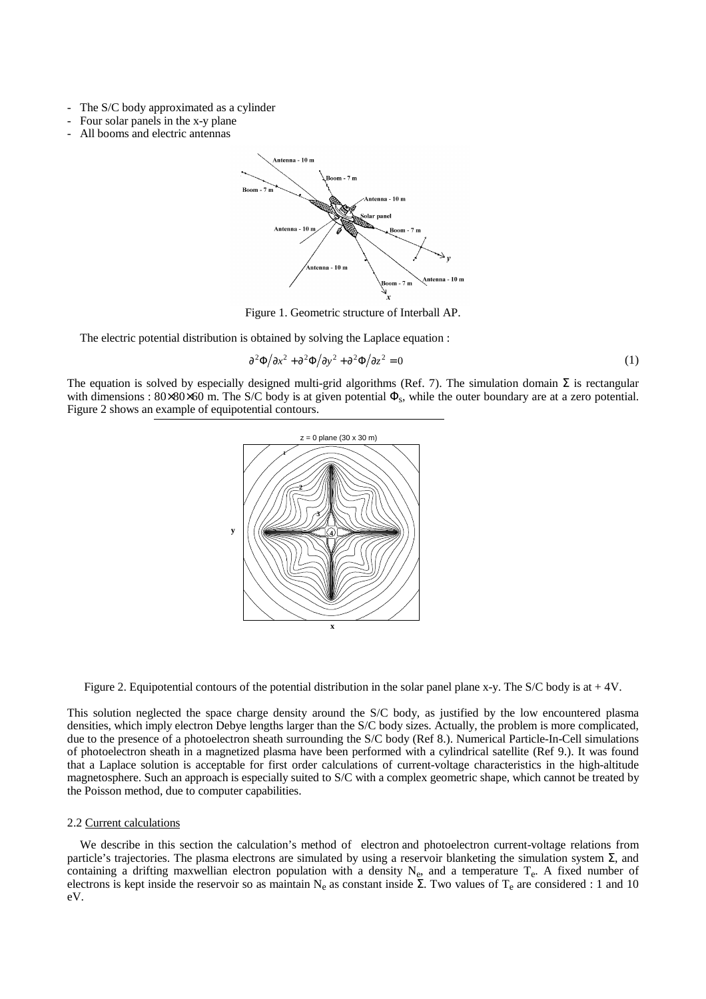- The S/C body approximated as a cylinder
- Four solar panels in the x-y plane
- All booms and electric antennas



Figure 1. Geometric structure of Interball AP.

The electric potential distribution is obtained by solving the Laplace equation :

$$
\frac{\partial^2 \Phi}{\partial x^2} + \frac{\partial^2 \Phi}{\partial y^2} + \frac{\partial^2 \Phi}{\partial z^2} = 0
$$
 (1)

The equation is solved by especially designed multi-grid algorithms (Ref. 7). The simulation domain  $\Sigma$  is rectangular with dimensions :  $80\times80\times60$  m. The S/C body is at given potential  $\Phi_s$ , while the outer boundary are at a zero potential. Figure 2 shows an example of equipotential contours.



Figure 2. Equipotential contours of the potential distribution in the solar panel plane x-y. The S/C body is at + 4V.

This solution neglected the space charge density around the S/C body, as justified by the low encountered plasma densities, which imply electron Debye lengths larger than the S/C body sizes. Actually, the problem is more complicated, due to the presence of a photoelectron sheath surrounding the S/C body (Ref 8.). Numerical Particle-In-Cell simulations of photoelectron sheath in a magnetized plasma have been performed with a cylindrical satellite (Ref 9.). It was found that a Laplace solution is acceptable for first order calculations of current-voltage characteristics in the high-altitude magnetosphere. Such an approach is especially suited to S/C with a complex geometric shape, which cannot be treated by the Poisson method, due to computer capabilities.

## 2.2 Current calculations

We describe in this section the calculation's method of electron and photoelectron current-voltage relations from particle's trajectories. The plasma electrons are simulated by using a reservoir blanketing the simulation system Σ, and containing a drifting maxwellian electron population with a density  $N_e$ , and a temperature  $T_e$ . A fixed number of electrons is kept inside the reservoir so as maintain  $N_e$  as constant inside  $\Sigma$ . Two values of  $T_e$  are considered : 1 and 10 eV.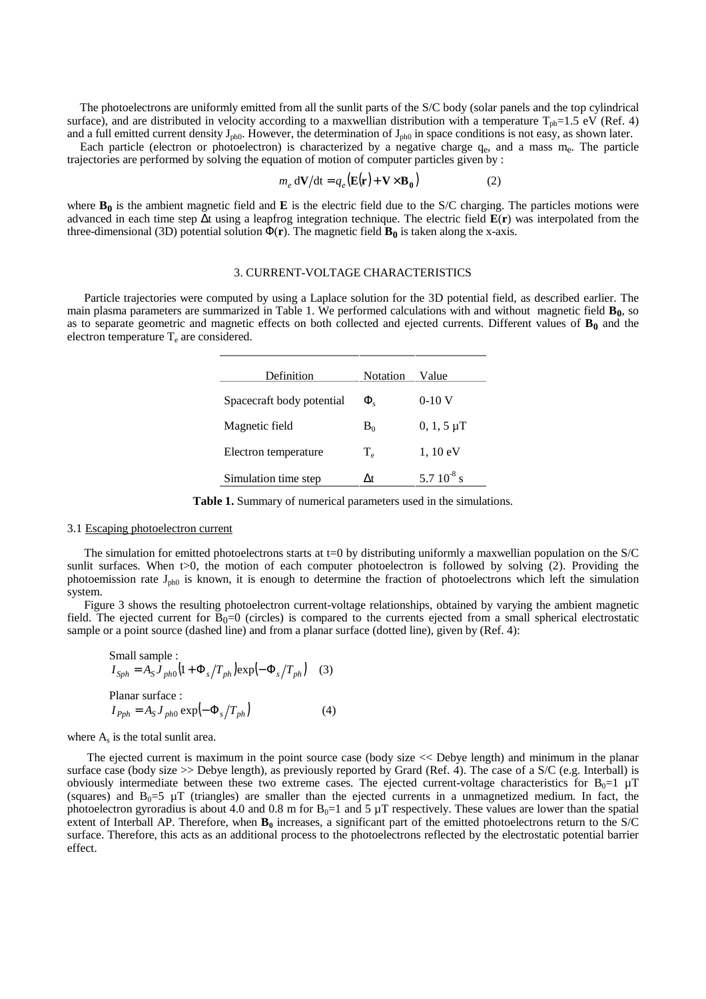The photoelectrons are uniformly emitted from all the sunlit parts of the S/C body (solar panels and the top cylindrical surface), and are distributed in velocity according to a maxwellian distribution with a temperature  $T_{ph}=1.5$  eV (Ref. 4) and a full emitted current density  $J_{ph0}$ . However, the determination of  $J_{ph0}$  in space conditions is not easy, as shown later.

Each particle (electron or photoelectron) is characterized by a negative charge  $q_e$ , and a mass  $m_e$ . The particle trajectories are performed by solving the equation of motion of computer particles given by :

$$
m_e \, \mathrm{d} \mathbf{V} / \mathrm{d} \mathbf{t} = q_e \big( \mathbf{E}(\mathbf{r}) + \mathbf{V} \times \mathbf{B}_0 \big) \tag{2}
$$

where  $\mathbf{B}_0$  is the ambient magnetic field and  $\mathbf{E}$  is the electric field due to the S/C charging. The particles motions were advanced in each time step ∆t using a leapfrog integration technique. The electric field **E**(**r**) was interpolated from the three-dimensional (3D) potential solution  $\Phi(\mathbf{r})$ . The magnetic field  $\mathbf{B}_0$  is taken along the x-axis.

### 3. CURRENT-VOLTAGE CHARACTERISTICS

Particle trajectories were computed by using a Laplace solution for the 3D potential field, as described earlier. The main plasma parameters are summarized in Table 1. We performed calculations with and without magnetic field  $\mathbf{B}_0$ , so as to separate geometric and magnetic effects on both collected and ejected currents. Different values of  $B_0$  and the electron temperature  $T_e$  are considered.

| Definition                | <b>Notation</b> | Value              |
|---------------------------|-----------------|--------------------|
| Spacecraft body potential | $\Phi_{\rm c}$  | $0-10$ V           |
| Magnetic field            | $B_0$           | $0, 1, 5 \mu T$    |
| Electron temperature      | $T_e$           | $1, 10 \text{ eV}$ |
| Simulation time step      | Δt              | 5.7 $10^{-8}$ s    |

**Table 1.** Summary of numerical parameters used in the simulations.

# 3.1 Escaping photoelectron current

The simulation for emitted photoelectrons starts at  $t=0$  by distributing uniformly a maxwellian population on the S/C sunlit surfaces. When  $t>0$ , the motion of each computer photoelectron is followed by solving (2). Providing the photoemission rate  $J_{ph0}$  is known, it is enough to determine the fraction of photoelectrons which left the simulation system.

Figure 3 shows the resulting photoelectron current-voltage relationships, obtained by varying the ambient magnetic field. The ejected current for  $\overline{B_0}$ =0 (circles) is compared to the currents ejected from a small spherical electrostatic sample or a point source (dashed line) and from a planar surface (dotted line), given by (Ref. 4):

Small sample :  
\n
$$
I_{Sph} = A_S J_{ph0} (1 + \Phi_s / T_{ph}) \exp(-\Phi_s / T_{ph})
$$
 (3)  
\nPlanar surface :  
\n $I_{Pph} = A_S J_{ph0} \exp(-\Phi_s / T_{ph})$  (4)

where  $A_s$  is the total sunlit area.

 The ejected current is maximum in the point source case (body size << Debye length) and minimum in the planar surface case (body size >> Debye length), as previously reported by Grard (Ref. 4). The case of a S/C (e.g. Interball) is obviously intermediate between these two extreme cases. The ejected current-voltage characteristics for  $B_0=1 \mu T$ (squares) and  $B_0=5 \mu T$  (triangles) are smaller than the ejected currents in a unmagnetized medium. In fact, the photoelectron gyroradius is about 4.0 and 0.8 m for  $B_0=1$  and 5  $\mu$ T respectively. These values are lower than the spatial extent of Interball AP. Therefore, when  $\mathbf{B}_0$  increases, a significant part of the emitted photoelectrons return to the  $S/C$ surface. Therefore, this acts as an additional process to the photoelectrons reflected by the electrostatic potential barrier effect.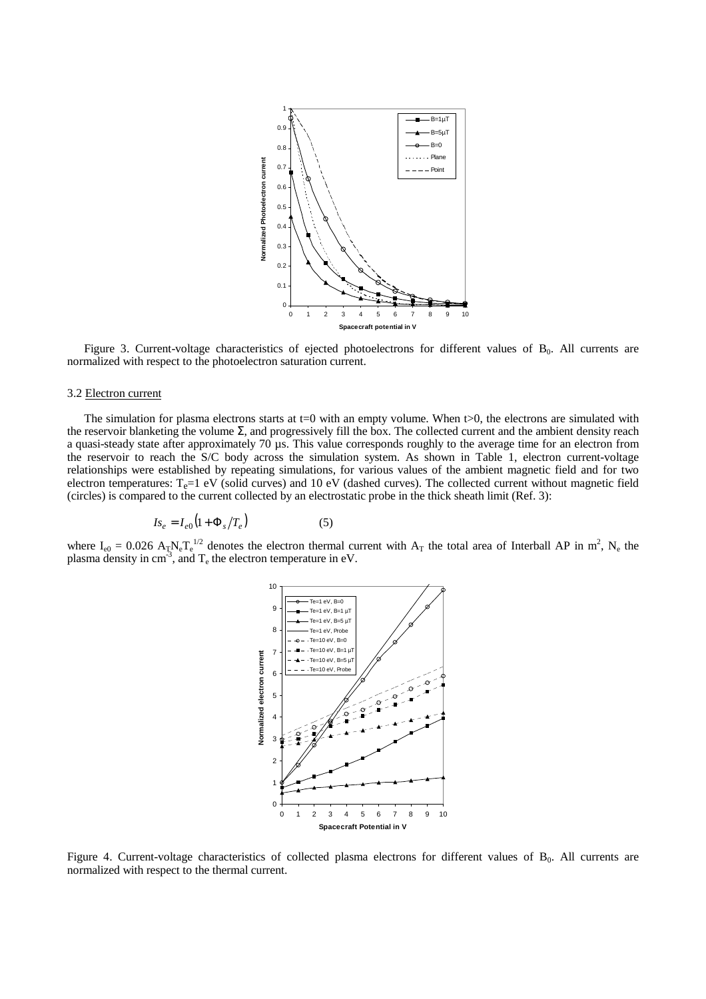

Figure 3. Current-voltage characteristics of ejected photoelectrons for different values of  $B_0$ . All currents are normalized with respect to the photoelectron saturation current.

## 3.2 Electron current

The simulation for plasma electrons starts at  $t=0$  with an empty volume. When  $t>0$ , the electrons are simulated with the reservoir blanketing the volume  $\Sigma$ , and progressively fill the box. The collected current and the ambient density reach a quasi-steady state after approximately 70 µs. This value corresponds roughly to the average time for an electron from the reservoir to reach the S/C body across the simulation system. As shown in Table 1, electron current-voltage relationships were established by repeating simulations, for various values of the ambient magnetic field and for two electron temperatures:  $T_e=1$  eV (solid curves) and 10 eV (dashed curves). The collected current without magnetic field (circles) is compared to the current collected by an electrostatic probe in the thick sheath limit (Ref. 3):

$$
I_{\mathcal{S}_e} = I_{e0} \left( 1 + \Phi_s / T_e \right) \tag{5}
$$

where  $I_{e0} = 0.026 A_T N_e T_e^{1/2}$  denotes the electron thermal current with  $A_T$  the total area of Interball AP in m<sup>2</sup>, N<sub>e</sub> the plasma density in  $cm^{-3}$ , and  $T_e$  the electron temperature in eV.



Figure 4. Current-voltage characteristics of collected plasma electrons for different values of  $B_0$ . All currents are normalized with respect to the thermal current.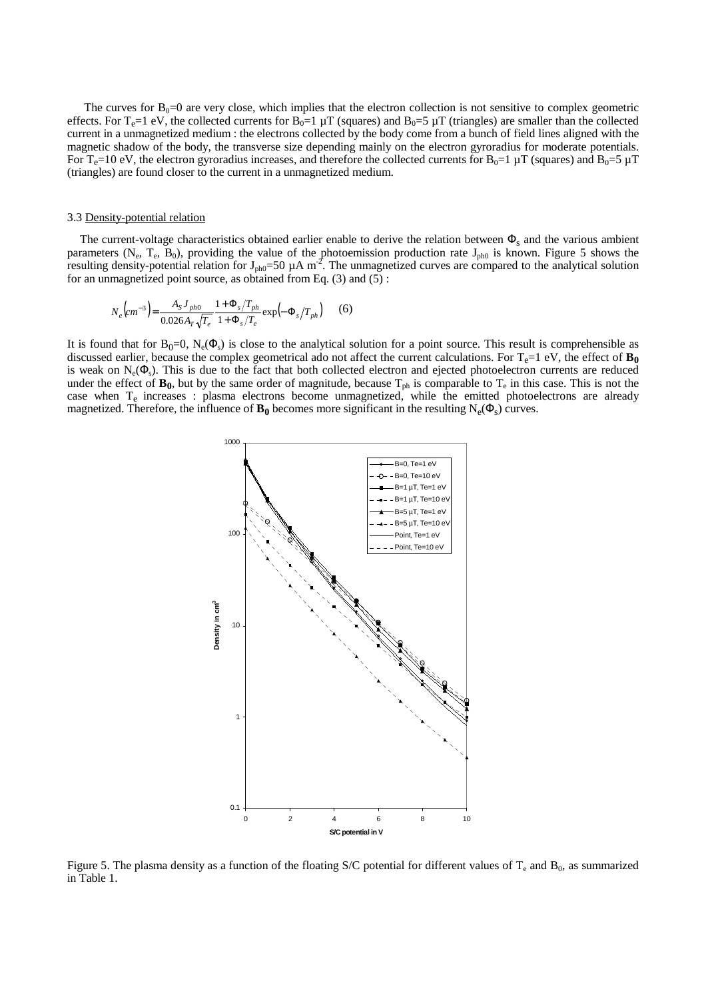The curves for  $B_0=0$  are very close, which implies that the electron collection is not sensitive to complex geometric effects. For T<sub>e</sub>=1 eV, the collected currents for B<sub>0</sub>=1  $\mu$ T (squares) and B<sub>0</sub>=5  $\mu$ T (triangles) are smaller than the collected current in a unmagnetized medium : the electrons collected by the body come from a bunch of field lines aligned with the magnetic shadow of the body, the transverse size depending mainly on the electron gyroradius for moderate potentials. For T<sub>e</sub>=10 eV, the electron gyroradius increases, and therefore the collected currents for B<sub>0</sub>=1 µT (squares) and B<sub>0</sub>=5 µT (triangles) are found closer to the current in a unmagnetized medium.

#### 3.3 Density-potential relation

The current-voltage characteristics obtained earlier enable to derive the relation between  $\Phi_s$  and the various ambient parameters (N<sub>e</sub>, T<sub>e</sub>, B<sub>0</sub>), providing the value of the photoemission production rate J<sub>ph0</sub> is known. Figure 5 shows the resulting density-potential relation for  $J_{ph0}=50 \mu A m^2$ . The unmagnetized curves are compared to the analytical solution for an unmagnetized point source, as obtained from Eq. (3) and (5) :

$$
N_e\left(c m^{-3}\right) = \frac{A_S J_{ph0}}{0.026 A_T \sqrt{T_e}} \frac{1 + \Phi_s / T_{ph}}{1 + \Phi_s / T_e} \exp\left(-\Phi_s / T_{ph}\right) \tag{6}
$$

It is found that for  $B_0=0$ ,  $N_e(\Phi_s)$  is close to the analytical solution for a point source. This result is comprehensible as discussed earlier, because the complex geometrical ado not affect the current calculations. For  $T_e=1$  eV, the effect of  $\mathbf{B_0}$ is weak on  $N_e(\Phi_s)$ . This is due to the fact that both collected electron and ejected photoelectron currents are reduced under the effect of  $\mathbf{B}_0$ , but by the same order of magnitude, because  $T_{ph}$  is comparable to  $T_e$  in this case. This is not the case when  $T_e$  increases : plasma electrons become unmagnetized, while the emitted photoelectrons are already magnetized. Therefore, the influence of  $\mathbf{B}_0$  becomes more significant in the resulting  $N_e(\Phi_s)$  curves.



Figure 5. The plasma density as a function of the floating S/C potential for different values of  $T_e$  and  $B_0$ , as summarized in Table 1.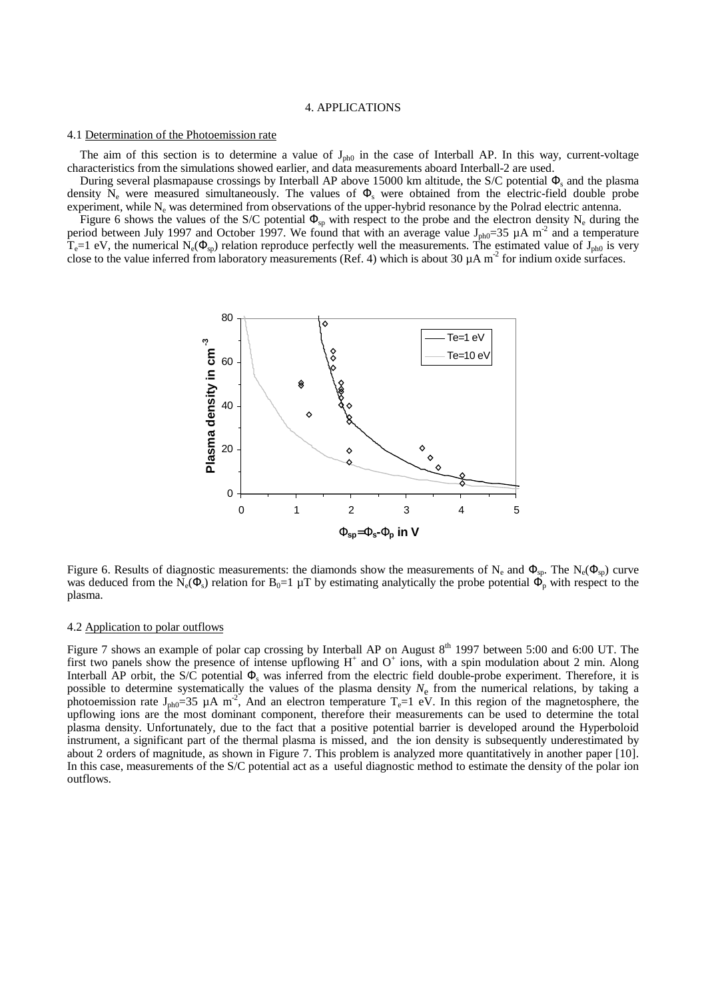### 4. APPLICATIONS

#### 4.1 Determination of the Photoemission rate

The aim of this section is to determine a value of  $J_{ph0}$  in the case of Interball AP. In this way, current-voltage characteristics from the simulations showed earlier, and data measurements aboard Interball-2 are used.

During several plasmapause crossings by Interball AP above 15000 km altitude, the S/C potential  $\Phi_s$  and the plasma density  $N_e$  were measured simultaneously. The values of  $\Phi_s$  were obtained from the electric-field double probe experiment, while  $N_e$  was determined from observations of the upper-hybrid resonance by the Polrad electric antenna.

Figure 6 shows the values of the S/C potential  $\Phi_{sp}$  with respect to the probe and the electron density N<sub>e</sub> during the period between July 1997 and October 1997. We found that with an average value J<sub>ph0</sub>=35  $\mu$ A m<sup>-2</sup> and a temperature  $T_e=1$  eV, the numerical N<sub>e</sub>( $\Phi_{sp}$ ) relation reproduce perfectly well the measurements. The estimated value of J<sub>ph0</sub> is very close to the value inferred from laboratory measurements (Ref. 4) which is about 30  $\mu$ A m<sup>-2</sup> for indium oxide surfaces.



Figure 6. Results of diagnostic measurements: the diamonds show the measurements of N<sub>e</sub> and  $\Phi_{\rm sp}$ . The N<sub>e</sub>( $\Phi_{\rm sp}$ ) curve was deduced from the N<sub>e</sub>( $\Phi_s$ ) relation for B<sub>0</sub>=1 µT by estimating analytically the probe potential  $\Phi_p$  with respect to the plasma.

#### 4.2 Application to polar outflows

Figure 7 shows an example of polar cap crossing by Interball AP on August  $8<sup>th</sup>$  1997 between 5:00 and 6:00 UT. The first two panels show the presence of intense upflowing  $H^+$  and  $O^+$  ions, with a spin modulation about 2 min. Along Interball AP orbit, the S/C potential  $\Phi_s$  was inferred from the electric field double-probe experiment. Therefore, it is possible to determine systematically the values of the plasma density *N*e from the numerical relations, by taking a photoemission rate  $J_{ph0}=35 \mu A m^2$ , And an electron temperature T<sub>e</sub>=1 eV. In this region of the magnetosphere, the upflowing ions are the most dominant component, therefore their measurements can be used to determine the total plasma density. Unfortunately, due to the fact that a positive potential barrier is developed around the Hyperboloid instrument, a significant part of the thermal plasma is missed, and the ion density is subsequently underestimated by about 2 orders of magnitude, as shown in Figure 7. This problem is analyzed more quantitatively in another paper [10]. In this case, measurements of the S/C potential act as a useful diagnostic method to estimate the density of the polar ion outflows.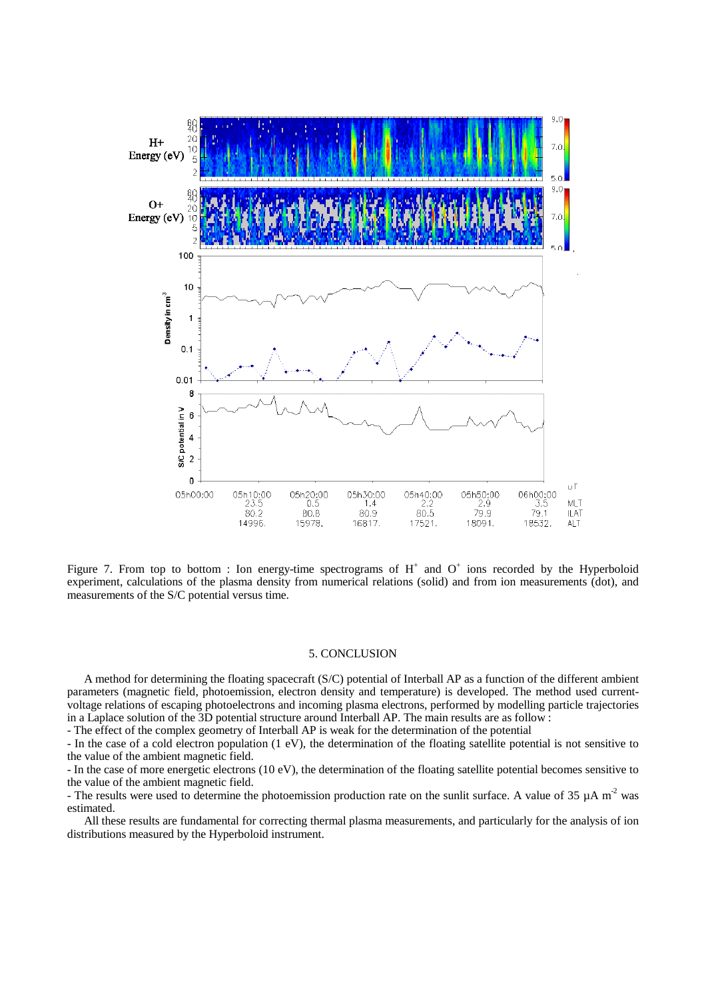

Figure 7. From top to bottom : Ion energy-time spectrograms of  $H^+$  and  $O^+$  ions recorded by the Hyperboloid experiment, calculations of the plasma density from numerical relations (solid) and from ion measurements (dot), and measurements of the S/C potential versus time.

# 5. CONCLUSION

A method for determining the floating spacecraft (S/C) potential of Interball AP as a function of the different ambient parameters (magnetic field, photoemission, electron density and temperature) is developed. The method used currentvoltage relations of escaping photoelectrons and incoming plasma electrons, performed by modelling particle trajectories in a Laplace solution of the 3D potential structure around Interball AP. The main results are as follow :

- The effect of the complex geometry of Interball AP is weak for the determination of the potential

- In the case of a cold electron population (1 eV), the determination of the floating satellite potential is not sensitive to the value of the ambient magnetic field.

- In the case of more energetic electrons (10 eV), the determination of the floating satellite potential becomes sensitive to the value of the ambient magnetic field.

- The results were used to determine the photoemission production rate on the sunlit surface. A value of 35  $\mu$ A m<sup>2</sup> was estimated.

All these results are fundamental for correcting thermal plasma measurements, and particularly for the analysis of ion distributions measured by the Hyperboloid instrument.